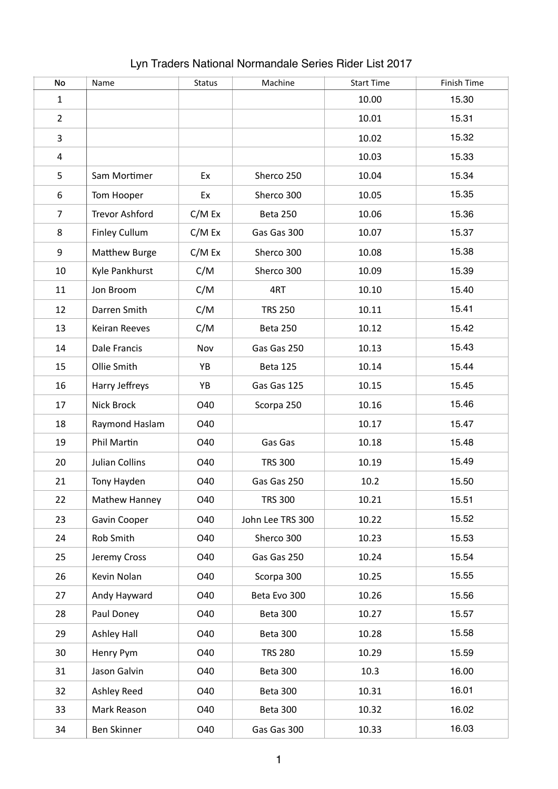| No             | Name                  | <b>Status</b> | Machine          | <b>Start Time</b> | Finish Time |
|----------------|-----------------------|---------------|------------------|-------------------|-------------|
| $\mathbf{1}$   |                       |               |                  | 10.00             | 15.30       |
| $\overline{2}$ |                       |               |                  | 10.01             | 15.31       |
| 3              |                       |               |                  | 10.02             | 15.32       |
| 4              |                       |               |                  | 10.03             | 15.33       |
| 5              | Sam Mortimer          | Ex            | Sherco 250       | 10.04             | 15.34       |
| 6              | Tom Hooper            | Ex            | Sherco 300       | 10.05             | 15.35       |
| $\overline{7}$ | <b>Trevor Ashford</b> | C/M Ex        | <b>Beta 250</b>  | 10.06             | 15.36       |
| 8              | <b>Finley Cullum</b>  | C/M Ex        | Gas Gas 300      | 10.07             | 15.37       |
| 9              | <b>Matthew Burge</b>  | C/M Ex        | Sherco 300       | 10.08             | 15.38       |
| 10             | Kyle Pankhurst        | C/M           | Sherco 300       | 10.09             | 15.39       |
| 11             | Jon Broom             | C/M           | 4RT              | 10.10             | 15.40       |
| 12             | Darren Smith          | C/M           | <b>TRS 250</b>   | 10.11             | 15.41       |
| 13             | <b>Keiran Reeves</b>  | C/M           | Beta 250         | 10.12             | 15.42       |
| 14             | Dale Francis          | Nov           | Gas Gas 250      | 10.13             | 15.43       |
| 15             | Ollie Smith           | YB            | <b>Beta 125</b>  | 10.14             | 15.44       |
| 16             | Harry Jeffreys        | YB            | Gas Gas 125      | 10.15             | 15.45       |
| 17             | Nick Brock            | O40           | Scorpa 250       | 10.16             | 15.46       |
| 18             | Raymond Haslam        | O40           |                  | 10.17             | 15.47       |
| 19             | Phil Martin           | O40           | Gas Gas          | 10.18             | 15.48       |
| 20             | <b>Julian Collins</b> | O40           | <b>TRS 300</b>   | 10.19             | 15.49       |
| 21             | Tony Hayden           | O40           | Gas Gas 250      | 10.2              | 15.50       |
| 22             | Mathew Hanney         | O40           | <b>TRS 300</b>   | 10.21             | 15.51       |
| 23             | Gavin Cooper          | O40           | John Lee TRS 300 | 10.22             | 15.52       |
| 24             | Rob Smith             | O40           | Sherco 300       | 10.23             | 15.53       |
| 25             | Jeremy Cross          | O40           | Gas Gas 250      | 10.24             | 15.54       |
| 26             | Kevin Nolan           | O40           | Scorpa 300       | 10.25             | 15.55       |
| 27             | Andy Hayward          | O40           | Beta Evo 300     | 10.26             | 15.56       |
| 28             | Paul Doney            | O40           | Beta 300         | 10.27             | 15.57       |
| 29             | Ashley Hall           | O40           | Beta 300         | 10.28             | 15.58       |
| 30             | Henry Pym             | O40           | <b>TRS 280</b>   | 10.29             | 15.59       |
| 31             | Jason Galvin          | O40           | Beta 300         | 10.3              | 16.00       |
| 32             | Ashley Reed           | O40           | Beta 300         | 10.31             | 16.01       |
| 33             | Mark Reason           | O40           | Beta 300         | 10.32             | 16.02       |
| 34             | Ben Skinner           | O40           | Gas Gas 300      | 10.33             | 16.03       |

## Lyn Traders National Normandale Series Rider List 2017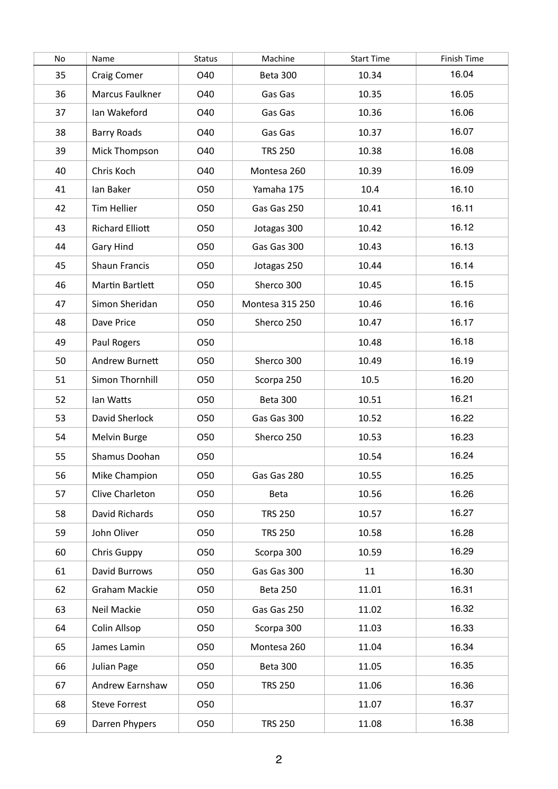| No | Name                   | <b>Status</b> | Machine         | <b>Start Time</b> | Finish Time |
|----|------------------------|---------------|-----------------|-------------------|-------------|
| 35 | Craig Comer            | O40           | Beta 300        | 10.34             | 16.04       |
| 36 | Marcus Faulkner        | O40           | Gas Gas         | 10.35             | 16.05       |
| 37 | Ian Wakeford           | O40           | Gas Gas         | 10.36             | 16.06       |
| 38 | <b>Barry Roads</b>     | O40           | Gas Gas         | 10.37             | 16.07       |
| 39 | Mick Thompson          | O40           | <b>TRS 250</b>  | 10.38             | 16.08       |
| 40 | Chris Koch             | O40           | Montesa 260     | 10.39             | 16.09       |
| 41 | Ian Baker              | O50           | Yamaha 175      | 10.4              | 16.10       |
| 42 | <b>Tim Hellier</b>     | <b>O50</b>    | Gas Gas 250     | 10.41             | 16.11       |
| 43 | <b>Richard Elliott</b> | <b>O50</b>    | Jotagas 300     | 10.42             | 16.12       |
| 44 | <b>Gary Hind</b>       | O50           | Gas Gas 300     | 10.43             | 16.13       |
| 45 | <b>Shaun Francis</b>   | <b>O50</b>    | Jotagas 250     | 10.44             | 16.14       |
| 46 | <b>Martin Bartlett</b> | O50           | Sherco 300      | 10.45             | 16.15       |
| 47 | Simon Sheridan         | O50           | Montesa 315 250 | 10.46             | 16.16       |
| 48 | Dave Price             | O50           | Sherco 250      | 10.47             | 16.17       |
| 49 | Paul Rogers            | O50           |                 | 10.48             | 16.18       |
| 50 | Andrew Burnett         | <b>O50</b>    | Sherco 300      | 10.49             | 16.19       |
| 51 | Simon Thornhill        | O50           | Scorpa 250      | 10.5              | 16.20       |
| 52 | lan Watts              | <b>O50</b>    | Beta 300        | 10.51             | 16.21       |
| 53 | David Sherlock         | O50           | Gas Gas 300     | 10.52             | 16.22       |
| 54 | Melvin Burge           | <b>O50</b>    | Sherco 250      | 10.53             | 16.23       |
| 55 | Shamus Doohan          | <b>O50</b>    |                 | 10.54             | 16.24       |
| 56 | Mike Champion          | 050           | Gas Gas 280     | 10.55             | 16.25       |
| 57 | Clive Charleton        | <b>O50</b>    | Beta            | 10.56             | 16.26       |
| 58 | David Richards         | <b>O50</b>    | <b>TRS 250</b>  | 10.57             | 16.27       |
| 59 | John Oliver            | <b>O50</b>    | <b>TRS 250</b>  | 10.58             | 16.28       |
| 60 | Chris Guppy            | <b>O50</b>    | Scorpa 300      | 10.59             | 16.29       |
| 61 | David Burrows          | 050           | Gas Gas 300     | 11                | 16.30       |
| 62 | Graham Mackie          | 050           | Beta 250        | 11.01             | 16.31       |
| 63 | Neil Mackie            | <b>O50</b>    | Gas Gas 250     | 11.02             | 16.32       |
| 64 | Colin Allsop           | O50           | Scorpa 300      | 11.03             | 16.33       |
| 65 | James Lamin            | 050           | Montesa 260     | 11.04             | 16.34       |
| 66 | Julian Page            | <b>O50</b>    | Beta 300        | 11.05             | 16.35       |
| 67 | Andrew Earnshaw        | O50           | <b>TRS 250</b>  | 11.06             | 16.36       |
| 68 | <b>Steve Forrest</b>   | O50           |                 | 11.07             | 16.37       |
| 69 | Darren Phypers         | 050           | <b>TRS 250</b>  | 11.08             | 16.38       |